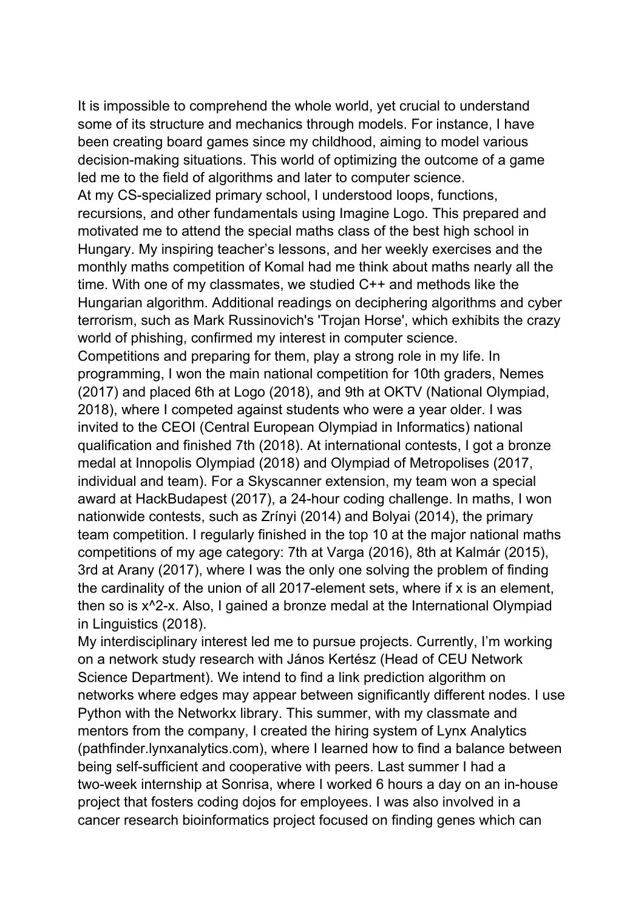It is impossible to comprehend the whole world, yet crucial to understand some of its structure and mechanics through models. For instance, I have been creating board games since my childhood, aiming to model various decision-making situations. This world of optimizing the outcome of a game led me to the field of algorithms and later to computer science. At my CS-specialized primary school, I understood loops, functions, recursions, and other fundamentals using Imagine Logo. This prepared and motivated me to attend the special maths class of the best high school in Hungary. My inspiring teacher's lessons, and her weekly exercises and the monthly maths competition of Komal had me think about maths nearly all the time. With one of my classmates, we studied C++ and methods like the Hungarian algorithm. Additional readings on deciphering algorithms and cyber terrorism, such as Mark Russinovich's 'Trojan Horse', which exhibits the crazy world of phishing, confirmed my interest in computer science. Competitions and preparing for them, play a strong role in my life. In programming, I won the main national competition for 10th graders, Nemes (2017) and placed 6th at Logo (2018), and 9th at OKTV (National Olympiad, 2018), where I competed against students who were a year older. I was invited to the CEOI (Central European Olympiad in Informatics) national qualification and finished 7th (2018). At international contests, I got a bronze medal at Innopolis Olympiad (2018) and Olympiad of Metropolises (2017, individual and team). For a Skyscanner extension, my team won a special award at HackBudapest (2017), a 24-hour coding challenge. In maths, I won nationwide contests, such as Zrínyi (2014) and Bolyai (2014), the primary team competition. I regularly finished in the top 10 at the major national maths competitions of my age category: 7th at Varga (2016), 8th at Kalmár (2015), 3rd at Arany (2017), where I was the only one solving the problem of finding the cardinality of the union of all 2017-element sets, where if x is an element, then so is x^2-x. Also, I gained a bronze medal at the International Olympiad in Linguistics (2018).

My interdisciplinary interest led me to pursue projects. Currently, I'm working on a network study research with János Kertész (Head of CEU Network Science Department). We intend to find a link prediction algorithm on networks where edges may appear between significantly different nodes. I use Python with the Networkx library. This summer, with my classmate and mentors from the company, I created the hiring system of Lynx Analytics (pathfinder.lynxanalytics.com), where I learned how to find a balance between being self-sufficient and cooperative with peers. Last summer I had a two-week internship at Sonrisa, where I worked 6 hours a day on an in-house project that fosters coding dojos for employees. I was also involved in a cancer research bioinformatics project focused on finding genes which can